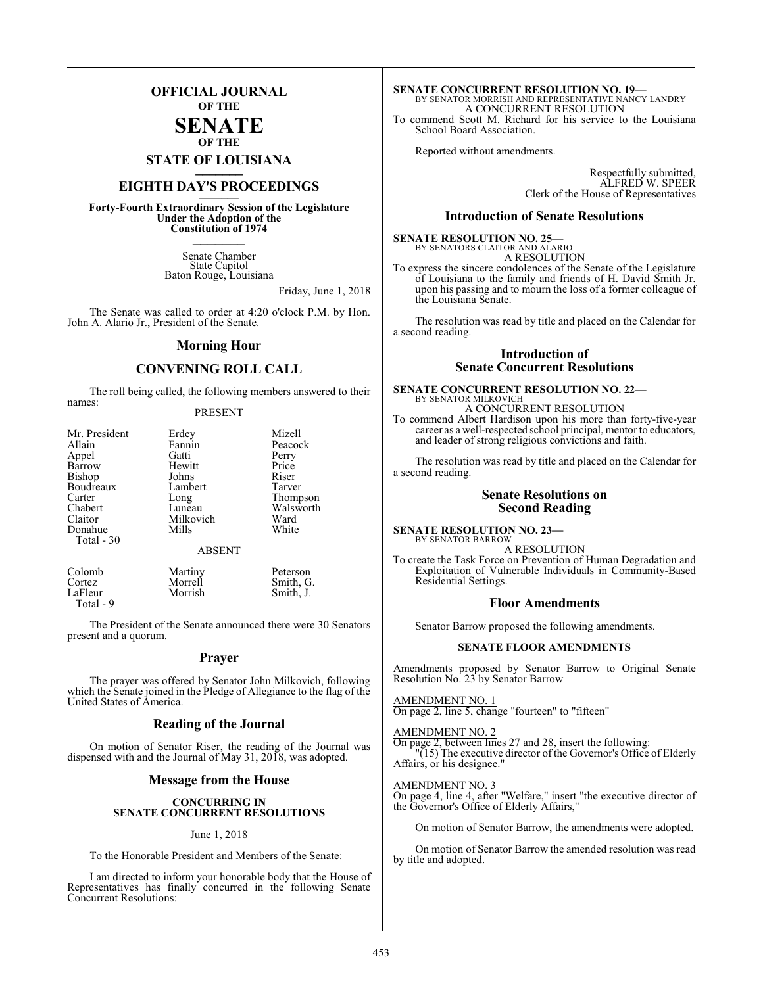## **OFFICIAL JOURNAL OF THE**

#### **SENATE OF THE**

**STATE OF LOUISIANA \_\_\_\_\_\_\_**

# **EIGHTH DAY'S PROCEEDINGS \_\_\_\_\_\_\_**

**Forty-Fourth Extraordinary Session of the Legislature Under the Adoption of the Constitution of 1974 \_\_\_\_\_\_\_**

> Senate Chamber State Capitol Baton Rouge, Louisiana

> > Friday, June 1, 2018

The Senate was called to order at 4:20 o'clock P.M. by Hon. John A. Alario Jr., President of the Senate.

#### **Morning Hour**

#### **CONVENING ROLL CALL**

The roll being called, the following members answered to their names:

#### PRESENT

| Mr. President | Erdey         | Mizell    |
|---------------|---------------|-----------|
| Allain        | Fannin        | Peacock   |
| Appel         | Gatti         | Perry     |
| Barrow        | Hewitt        | Price     |
| Bishop        | Johns         | Riser     |
| Boudreaux     | Lambert       | Tarver    |
| Carter        | Long          | Thompson  |
| Chabert       | Luneau        | Walsworth |
| Claitor       | Milkovich     | Ward      |
| Donahue       | Mills         | White     |
| Total - 30    |               |           |
|               | <b>ABSENT</b> |           |
|               |               |           |

| Colomb    | Martiny | Peterson  |
|-----------|---------|-----------|
| Cortez    | Morrell | Smith, G. |
| LaFleur   | Morrish | Smith, J. |
| Total - 9 |         |           |

The President of the Senate announced there were 30 Senators present and a quorum.

#### **Prayer**

The prayer was offered by Senator John Milkovich, following which the Senate joined in the Pledge of Allegiance to the flag of the United States of America.

#### **Reading of the Journal**

On motion of Senator Riser, the reading of the Journal was dispensed with and the Journal of May 31, 2018, was adopted.

#### **Message from the House**

#### **CONCURRING IN SENATE CONCURRENT RESOLUTIONS**

#### June 1, 2018

To the Honorable President and Members of the Senate:

I am directed to inform your honorable body that the House of Representatives has finally concurred in the following Senate Concurrent Resolutions:

## **SENATE CONCURRENT RESOLUTION NO. 19—** BY SENATOR MORRISH AND REPRESENTATIVE NANCY LANDRY A CONCURRENT RESOLUTION

To commend Scott M. Richard for his service to the Louisiana School Board Association.

Reported without amendments.

Respectfully submitted, ALFRED W. SPEER Clerk of the House of Representatives

#### **Introduction of Senate Resolutions**

## **SENATE RESOLUTION NO. 25—** BY SENATORS CLAITOR AND ALARIO

A RESOLUTION

To express the sincere condolences of the Senate of the Legislature of Louisiana to the family and friends of H. David Smith Jr. upon his passing and to mourn the loss of a former colleague of the Louisiana Senate.

The resolution was read by title and placed on the Calendar for a second reading.

#### **Introduction of Senate Concurrent Resolutions**

# **SENATE CONCURRENT RESOLUTION NO. 22—**

BY SENATOR MILKOVICH A CONCURRENT RESOLUTION To commend Albert Hardison upon his more than forty-five-year career as a well-respected school principal, mentor to educators, and leader of strong religious convictions and faith.

The resolution was read by title and placed on the Calendar for a second reading.

#### **Senate Resolutions on Second Reading**

# **SENATE RESOLUTION NO. 23—** BY SENATOR BARROW

A RESOLUTION

To create the Task Force on Prevention of Human Degradation and Exploitation of Vulnerable Individuals in Community-Based Residential Settings.

#### **Floor Amendments**

Senator Barrow proposed the following amendments.

#### **SENATE FLOOR AMENDMENTS**

Amendments proposed by Senator Barrow to Original Senate Resolution No. 23 by Senator Barrow

AMENDMENT NO. 1 On page 2, line 5, change "fourteen" to "fifteen"

#### AMENDMENT NO. 2 On page 2, between lines 27 and 28, insert the following: "(15) The executive director of the Governor's Office of Elderly Affairs, or his designee."

AMENDMENT NO. 3

On page 4, line 4, after "Welfare," insert "the executive director of the Governor's Office of Elderly Affairs,"

On motion of Senator Barrow, the amendments were adopted.

On motion of Senator Barrow the amended resolution was read by title and adopted.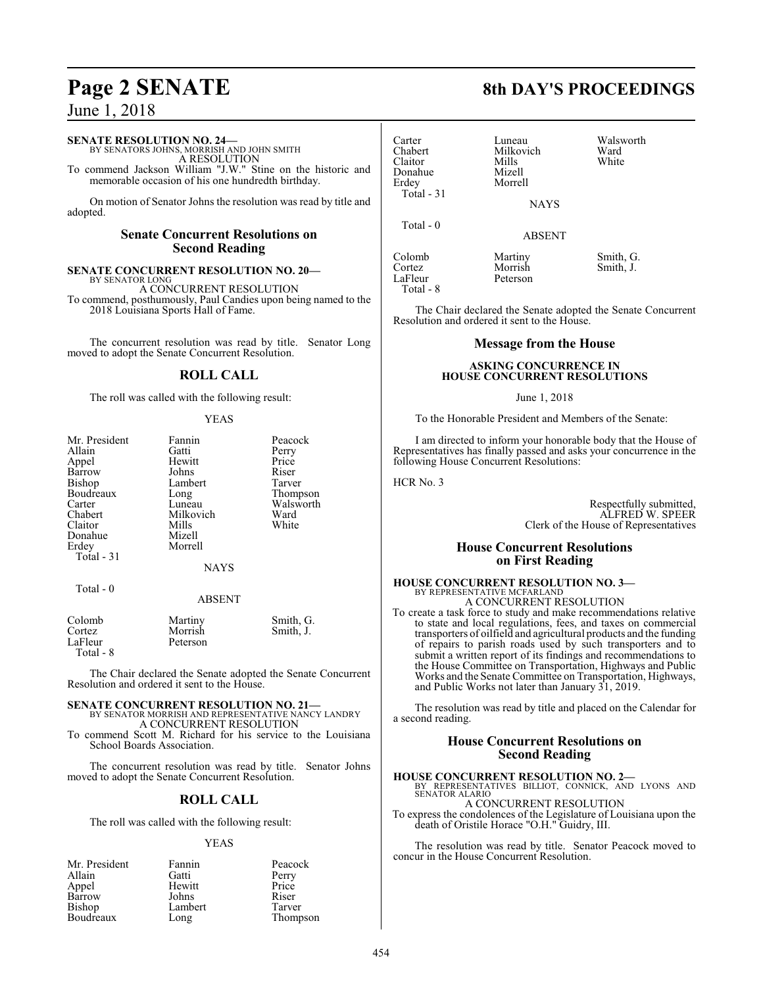June 1, 2018

#### **SENATE RESOLUTION NO. 24—**

BY SENATORS JOHNS, MORRISH AND JOHN SMITH A RESOLUTION To commend Jackson William "J.W." Stine on the historic and

memorable occasion of his one hundredth birthday.

On motion of Senator Johns the resolution was read by title and adopted.

#### **Senate Concurrent Resolutions on Second Reading**

**SENATE CONCURRENT RESOLUTION NO. 20—**

BY SENATOR LONG A CONCURRENT RESOLUTION To commend, posthumously, Paul Candies upon being named to the 2018 Louisiana Sports Hall of Fame.

The concurrent resolution was read by title. Senator Long moved to adopt the Senate Concurrent Resolution.

#### **ROLL CALL**

The roll was called with the following result:

#### YEAS

| Mr. President | Fannin        | Peacock   |
|---------------|---------------|-----------|
| Allain        | Gatti         | Perry     |
| Appel         | Hewitt        | Price     |
| Barrow        | Johns         | Riser     |
| <b>Bishop</b> | Lambert       | Tarver    |
| Boudreaux     | Long          | Thompson  |
| Carter        | Luneau        | Walsworth |
| Chabert       | Milkovich     | Ward      |
| Claitor       | Mills         | White     |
| Donahue       | Mizell        |           |
| Erdey         | Morrell       |           |
| Total - 31    |               |           |
|               | <b>NAYS</b>   |           |
| Total - 0     |               |           |
|               | <b>ABSENT</b> |           |
| Colomb        | Martiny       | Smith, G. |
| Cortez        | Morrish       | Smith, J. |
| LaFleur       | Peterson      |           |

Total - 8

The Chair declared the Senate adopted the Senate Concurrent Resolution and ordered it sent to the House.

#### **SENATE CONCURRENT RESOLUTION NO. 21—** BY SENATOR MORRISH AND REPRESENTATIVE NANCY LANDRY A CONCURRENT RESOLUTION

To commend Scott M. Richard for his service to the Louisiana School Boards Association.

The concurrent resolution was read by title. Senator Johns moved to adopt the Senate Concurrent Resolution.

#### **ROLL CALL**

The roll was called with the following result:

#### YEAS

| Mr. President | Fannin  | Peacock  |
|---------------|---------|----------|
| Allain        | Gatti   | Perry    |
| Appel         | Hewitt  | Price    |
| Barrow        | Johns   | Riser    |
| Bishop        | Lambert | Tarver   |
| Boudreaux     | Long    | Thompson |

## **Page 2 SENATE 8th DAY'S PROCEEDINGS**

| Carter<br>Chabert<br>Claitor<br>Donahue<br>Erdey<br>Total $-31$ | Luneau<br>Milkovich<br>Mills<br>Mizell<br>Morrell<br><b>NAYS</b> | Walsworth<br>Ward<br>White |
|-----------------------------------------------------------------|------------------------------------------------------------------|----------------------------|
| Total $-0$                                                      | <b>ABSENT</b>                                                    |                            |
| Colomb<br>Cortez<br>LaFleur                                     | Martiny<br>Morrish<br>Peterson                                   | Smith, G.<br>Smith, J.     |

The Chair declared the Senate adopted the Senate Concurrent Resolution and ordered it sent to the House.

#### **Message from the House**

#### **ASKING CONCURRENCE IN HOUSE CONCURRENT RESOLUTIONS**

#### June 1, 2018

To the Honorable President and Members of the Senate:

I am directed to inform your honorable body that the House of Representatives has finally passed and asks your concurrence in the following House Concurrent Resolutions:

HCR No. 3

Total - 8

Respectfully submitted, ALFRED W. SPEER Clerk of the House of Representatives

#### **House Concurrent Resolutions on First Reading**

#### **HOUSE CONCURRENT RESOLUTION NO. 3—** BY REPRESENTATIVE MCFARLAND A CONCURRENT RESOLUTION

To create a task force to study and make recommendations relative to state and local regulations, fees, and taxes on commercial transporters of oilfield and agricultural products and the funding of repairs to parish roads used by such transporters and to submit a written report of its findings and recommendations to the House Committee on Transportation, Highways and Public Works and the Senate Committee on Transportation, Highways, and Public Works not later than January 31, 2019.

The resolution was read by title and placed on the Calendar for a second reading.

#### **House Concurrent Resolutions on Second Reading**

**HOUSE CONCURRENT RESOLUTION NO. 2—** BY REPRESENTATIVES BILLIOT, CONNICK, AND LYONS AND SENATOR ALARIO

A CONCURRENT RESOLUTION To express the condolences of the Legislature of Louisiana upon the death of Oristile Horace "O.H." Guidry, III.

The resolution was read by title. Senator Peacock moved to concur in the House Concurrent Resolution.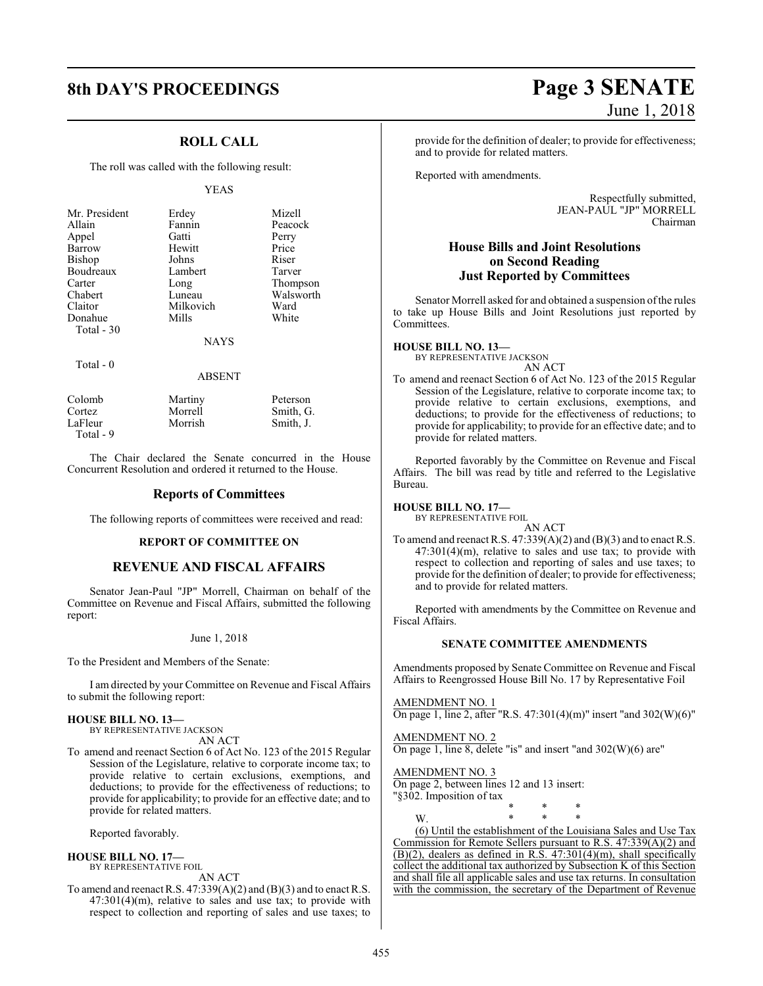## **ROLL CALL**

The roll was called with the following result:

#### YEAS

| Mr. President |             | Mizell    |
|---------------|-------------|-----------|
|               | Erdey       |           |
| Allain        | Fannin      | Peacock   |
| Appel         | Gatti       | Perry     |
| Barrow        | Hewitt      | Price     |
| Bishop        | Johns       | Riser     |
| Boudreaux     | Lambert     | Tarver    |
| Carter        | Long        | Thompson  |
| Chabert       | Luneau      | Walsworth |
| Claitor       | Milkovich   | Ward      |
| Donahue       | Mills       | White     |
| Total $-30$   |             |           |
|               | <b>NAYS</b> |           |

Total - 0

#### ABSENT

| Colomb    | Martiny | Peterson  |
|-----------|---------|-----------|
| Cortez    | Morrell | Smith, G. |
| LaFleur   | Morrish | Smith, J. |
| Total - 9 |         |           |

The Chair declared the Senate concurred in the House Concurrent Resolution and ordered it returned to the House.

#### **Reports of Committees**

The following reports of committees were received and read:

#### **REPORT OF COMMITTEE ON**

#### **REVENUE AND FISCAL AFFAIRS**

Senator Jean-Paul "JP" Morrell, Chairman on behalf of the Committee on Revenue and Fiscal Affairs, submitted the following report:

#### June 1, 2018

To the President and Members of the Senate:

I am directed by your Committee on Revenue and Fiscal Affairs to submit the following report:

#### **HOUSE BILL NO. 13—**

BY REPRESENTATIVE JACKSON AN ACT

To amend and reenact Section 6 of Act No. 123 of the 2015 Regular Session of the Legislature, relative to corporate income tax; to provide relative to certain exclusions, exemptions, and deductions; to provide for the effectiveness of reductions; to provide for applicability; to provide for an effective date; and to provide for related matters.

Reported favorably.

#### **HOUSE BILL NO. 17—** BY REPRESENTATIVE FOIL

AN ACT

To amend and reenact R.S. 47:339(A)(2) and (B)(3) and to enact R.S. 47:301(4)(m), relative to sales and use tax; to provide with respect to collection and reporting of sales and use taxes; to

# **8th DAY'S PROCEEDINGS Page 3 SENATE** June 1, 2018

provide for the definition of dealer; to provide for effectiveness; and to provide for related matters.

Reported with amendments.

Respectfully submitted, JEAN-PAUL "JP" MORRELL Chairman

#### **House Bills and Joint Resolutions on Second Reading Just Reported by Committees**

Senator Morrell asked for and obtained a suspension of the rules to take up House Bills and Joint Resolutions just reported by Committees.

**HOUSE BILL NO. 13—** BY REPRESENTATIVE JACKSON AN ACT

To amend and reenact Section 6 of Act No. 123 of the 2015 Regular Session of the Legislature, relative to corporate income tax; to provide relative to certain exclusions, exemptions, and deductions; to provide for the effectiveness of reductions; to provide for applicability; to provide for an effective date; and to provide for related matters.

Reported favorably by the Committee on Revenue and Fiscal Affairs. The bill was read by title and referred to the Legislative Bureau.

#### **HOUSE BILL NO. 17—**

BY REPRESENTATIVE FOIL AN ACT

To amend and reenact R.S. 47:339(A)(2) and (B)(3) and to enact R.S.  $47:301(4)(m)$ , relative to sales and use tax; to provide with respect to collection and reporting of sales and use taxes; to provide for the definition of dealer; to provide for effectiveness; and to provide for related matters.

Reported with amendments by the Committee on Revenue and Fiscal Affairs.

#### **SENATE COMMITTEE AMENDMENTS**

Amendments proposed by Senate Committee on Revenue and Fiscal Affairs to Reengrossed House Bill No. 17 by Representative Foil

AMENDMENT NO. 1

On page 1, line 2, after "R.S. 47:301(4)(m)" insert "and 302(W)(6)"

\* \* \*

(6) Until the establishment of the Louisiana Sales and Use Tax Commission for Remote Sellers pursuant to R.S. 47:339(A)(2) and  $(B)(2)$ , dealers as defined in R.S. 47:301(4)(m), shall specifically collect the additional tax authorized by Subsection K of this Section and shall file all applicable sales and use tax returns. In consultation with the commission, the secretary of the Department of Revenue

AMENDMENT NO. 2 On page 1, line 8, delete "is" and insert "and 302(W)(6) are"

#### AMENDMENT NO. 3

On page 2, between lines 12 and 13 insert: "§302. Imposition of tax

W. \* \* \*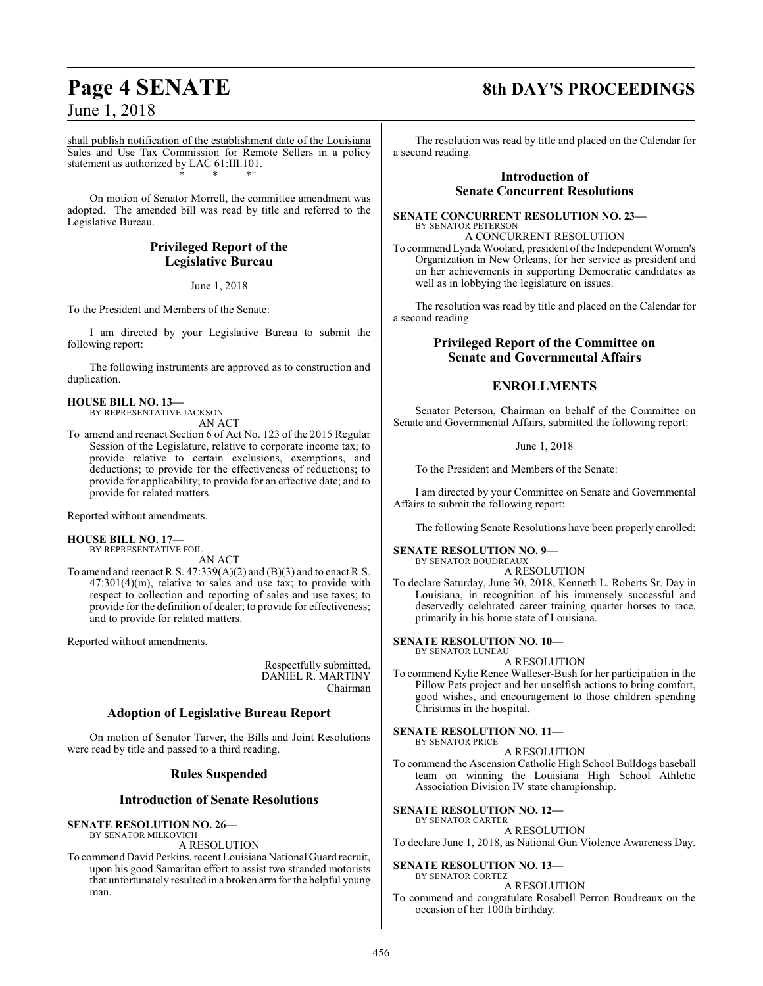## June 1, 2018

shall publish notification of the establishment date of the Louisiana Sales and Use Tax Commission for Remote Sellers in a policy statement as authorized by LAC 61:III.101. \* \* \*"

On motion of Senator Morrell, the committee amendment was adopted. The amended bill was read by title and referred to the Legislative Bureau.

## **Privileged Report of the Legislative Bureau**

June 1, 2018

To the President and Members of the Senate:

I am directed by your Legislative Bureau to submit the following report:

The following instruments are approved as to construction and duplication.

#### **HOUSE BILL NO. 13—** BY REPRESENTATIVE JACKSON

AN ACT

To amend and reenact Section 6 of Act No. 123 of the 2015 Regular Session of the Legislature, relative to corporate income tax; to provide relative to certain exclusions, exemptions, and deductions; to provide for the effectiveness of reductions; to provide for applicability; to provide for an effective date; and to provide for related matters.

Reported without amendments.

#### **HOUSE BILL NO. 17—** BY REPRESENTATIVE FOIL

AN ACT

To amend and reenact R.S. 47:339(A)(2) and (B)(3) and to enact R.S. 47:301(4)(m), relative to sales and use tax; to provide with respect to collection and reporting of sales and use taxes; to provide for the definition of dealer; to provide for effectiveness; and to provide for related matters.

Reported without amendments.

Respectfully submitted, DANIEL R. MARTINY Chairman

## **Adoption of Legislative Bureau Report**

On motion of Senator Tarver, the Bills and Joint Resolutions were read by title and passed to a third reading.

## **Rules Suspended**

#### **Introduction of Senate Resolutions**

#### **SENATE RESOLUTION NO. 26—**

BY SENATOR MILKOVICH A RESOLUTION

To commend David Perkins, recent Louisiana National Guard recruit, upon his good Samaritan effort to assist two stranded motorists that unfortunately resulted in a broken arm for the helpful young man.

## **Page 4 SENATE 8th DAY'S PROCEEDINGS**

The resolution was read by title and placed on the Calendar for a second reading.

#### **Introduction of Senate Concurrent Resolutions**

#### **SENATE CONCURRENT RESOLUTION NO. 23—** BY SENATOR PETERSON

A CONCURRENT RESOLUTION To commend Lynda Woolard, president ofthe Independent Women's Organization in New Orleans, for her service as president and on her achievements in supporting Democratic candidates as well as in lobbying the legislature on issues.

The resolution was read by title and placed on the Calendar for a second reading.

#### **Privileged Report of the Committee on Senate and Governmental Affairs**

## **ENROLLMENTS**

Senator Peterson, Chairman on behalf of the Committee on Senate and Governmental Affairs, submitted the following report:

June 1, 2018

To the President and Members of the Senate:

I am directed by your Committee on Senate and Governmental Affairs to submit the following report:

The following Senate Resolutions have been properly enrolled:

#### **SENATE RESOLUTION NO. 9—**

BY SENATOR BOUDREAUX A RESOLUTION

To declare Saturday, June 30, 2018, Kenneth L. Roberts Sr. Day in Louisiana, in recognition of his immensely successful and deservedly celebrated career training quarter horses to race, primarily in his home state of Louisiana.

#### **SENATE RESOLUTION NO. 10—** BY SENATOR LUNEAU

A RESOLUTION

To commend Kylie Renee Walleser-Bush for her participation in the Pillow Pets project and her unselfish actions to bring comfort, good wishes, and encouragement to those children spending Christmas in the hospital.

#### **SENATE RESOLUTION NO. 11—** BY SENATOR PRICE

#### A RESOLUTION

To commend the Ascension Catholic High School Bulldogs baseball team on winning the Louisiana High School Athletic Association Division IV state championship.

#### **SENATE RESOLUTION NO. 12—**

BY SENATOR CARTER A RESOLUTION

To declare June 1, 2018, as National Gun Violence Awareness Day.

#### **SENATE RESOLUTION NO. 13—**

#### BY SENATOR CORTEZ A RESOLUTION

To commend and congratulate Rosabell Perron Boudreaux on the occasion of her 100th birthday.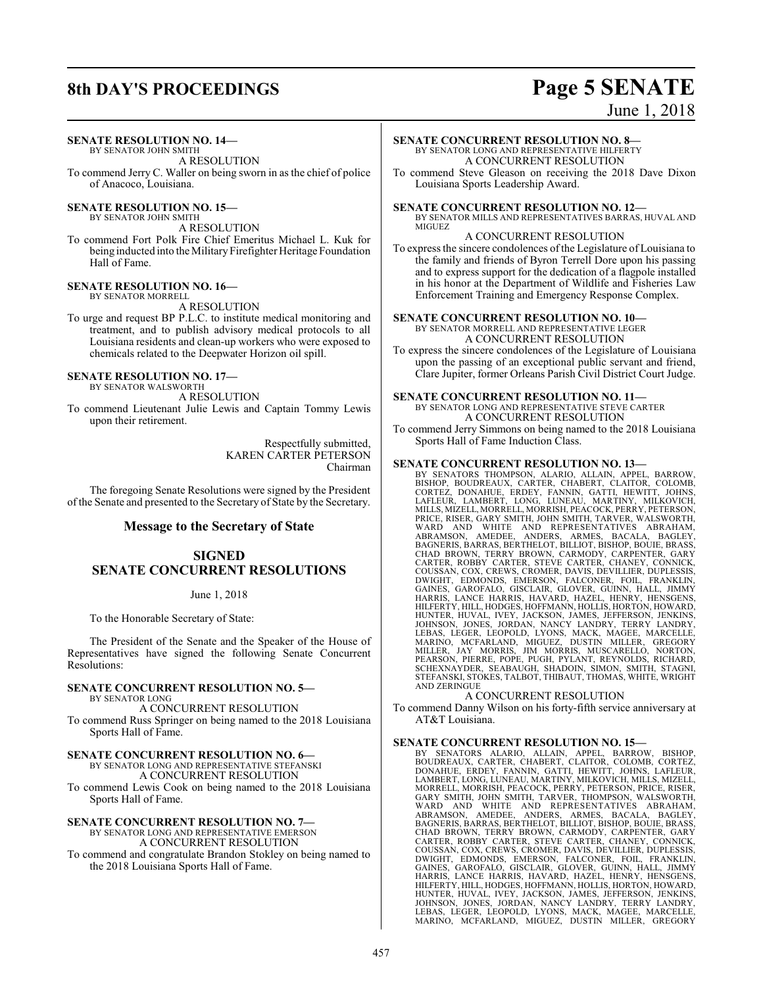# **8th DAY'S PROCEEDINGS Page 5 SENATE**

# June 1, 2018

#### **SENATE RESOLUTION NO. 14—**

BY SENATOR JOHN SMITH A RESOLUTION

To commend Jerry C. Waller on being sworn in as the chief of police of Anacoco, Louisiana.

**SENATE RESOLUTION NO. 15—** BY SENATOR JOHN SMITH

A RESOLUTION

To commend Fort Polk Fire Chief Emeritus Michael L. Kuk for being inducted into the Military Firefighter Heritage Foundation Hall of Fame.

#### **SENATE RESOLUTION NO. 16—** BY SENATOR MORRELL

A RESOLUTION

To urge and request BP P.L.C. to institute medical monitoring and treatment, and to publish advisory medical protocols to all Louisiana residents and clean-up workers who were exposed to chemicals related to the Deepwater Horizon oil spill.

#### **SENATE RESOLUTION NO. 17—** BY SENATOR WALSWORTH

A RESOLUTION

To commend Lieutenant Julie Lewis and Captain Tommy Lewis upon their retirement.

> Respectfully submitted, KAREN CARTER PETERSON Chairman

The foregoing Senate Resolutions were signed by the President of the Senate and presented to the Secretary of State by the Secretary.

#### **Message to the Secretary of State**

#### **SIGNED SENATE CONCURRENT RESOLUTIONS**

June 1, 2018

To the Honorable Secretary of State:

The President of the Senate and the Speaker of the House of Representatives have signed the following Senate Concurrent Resolutions:

#### **SENATE CONCURRENT RESOLUTION NO. 5—** BY SENATOR LONG

A CONCURRENT RESOLUTION To commend Russ Springer on being named to the 2018 Louisiana Sports Hall of Fame.

#### **SENATE CONCURRENT RESOLUTION NO. 6—**

BY SENATOR LONG AND REPRESENTATIVE STEFANSKI A CONCURRENT RESOLUTION

To commend Lewis Cook on being named to the 2018 Louisiana Sports Hall of Fame.

#### **SENATE CONCURRENT RESOLUTION NO. 7—** BY SENATOR LONG AND REPRESENTATIVE EMERSON

A CONCURRENT RESOLUTION To commend and congratulate Brandon Stokley on being named to the 2018 Louisiana Sports Hall of Fame.

#### **SENATE CONCURRENT RESOLUTION NO. 8—** BY SENATOR LONG AND REPRESENTATIVE HILFERTY

A CONCURRENT RESOLUTION

To commend Steve Gleason on receiving the 2018 Dave Dixon Louisiana Sports Leadership Award.

#### **SENATE CONCURRENT RESOLUTION NO. 12—**

BY SENATOR MILLS AND REPRESENTATIVES BARRAS, HUVAL AND **MIGUEZ** 

## A CONCURRENT RESOLUTION

To express the sincere condolences of the Legislature of Louisiana to the family and friends of Byron Terrell Dore upon his passing and to express support for the dedication of a flagpole installed in his honor at the Department of Wildlife and Fisheries Law Enforcement Training and Emergency Response Complex.

#### **SENATE CONCURRENT RESOLUTION NO. 10—**

BY SENATOR MORRELL AND REPRESENTATIVE LEGER A CONCURRENT RESOLUTION

To express the sincere condolences of the Legislature of Louisiana upon the passing of an exceptional public servant and friend, Clare Jupiter, former Orleans Parish Civil District Court Judge.

#### **SENATE CONCURRENT RESOLUTION NO. 11—** BY SENATOR LONG AND REPRESENTATIVE STEVE CARTER A CONCURRENT RESOLUTION

To commend Jerry Simmons on being named to the 2018 Louisiana Sports Hall of Fame Induction Class.

**SENATE CONCURRENT RESOLUTION NO. 13—**<br>BY SENATORS THOMPSON, ALARIO, ALLAIN, APPEL, BARROW,<br>BISHOP, BOUDREAUX, CARTER, CHABERT, CLAITOR, COLOMB, CORTEZ, DONAHUE, ERDEY, FANNIN, GATTI, HEWITT, JOHNS,<br>LAFLEUR, LAMBERT, LONG, LUNEAU, MARTINY, MILKOVICH,<br>MILLS,MIZELL,MORRELL,MORRISH,PEACOCK,PERRY,PETERSON, PRICE, RISER, GARY SMITH, JOHN SMITH, TARVER, WALSWORTH,<br>WARD AND WHITE AND REPRESENTATIVES ABRAHAM,<br>ABRAMSON, AMEDEE, ANDERS, ARMES, BACALA, BAGLEY, BAGNERIS, BARRAS, BERTHELOT, BILLIOT, BISHOP, BOUIE, BRASS,<br>CHAD BROWN, TERRY BROWN, CARMODY, CARPENTER, GARY<br>CARTER, ROBBY CARTER, STEVE CARTER, CHANEY, CONNICK, COUSSAN, COX, CREWS, CROMER, DAVIS, DEVILLIER, DUPLESSIS, DWIGHT, EDMONDS, EMERSON, FALCONER, FOIL, FRANKLIN, GARDEN, GARDEN, GARDEN, HARRIS, LANCE HARRIS, HAVARD, HAZEL, HENRY, HENSGENS, HILFERTY, HILL, HODGES, HOFFMANN,

#### A CONCURRENT RESOLUTION

To commend Danny Wilson on his forty-fifth service anniversary at AT&T Louisiana.

#### **SENATE CONCURRENT RESOLUTION NO. 15—**

BY SENATORS ALARIO, ALLAIN, APPEL, BARROW, BISHOP, BOUDREAUX, CARTER, CHABERT, CLAITOR, COLOMB, CORTEZ, DONAHUE, ERDEY, FANNIN, GATTI, HEWITT, JOHNS, LAFLEUR, LAMBERT, LONG, LUNEAU, MARTINY, MILKOVICH, MILLS, MIZELL,<br>MORRELL, MORRISH, PEACOCK, PERRY, PETERSON, PRICE, RISER,<br>GARY SMITH, JOHN SMITH, TARVER, THOMPSON, WALSWORTH,<br>WARD AND WHITE AND REPRESENTATIVES ABRAHAM,<br>BRAMSON, COUSSAN, COX, CREWS, CROMER, DAVIS, DEVILLIER, DUPLESSIS,<br>DWIGHT, EDMONDS, EMERSON, FALCONER, FOIL, FRANKLIN,<br>GAINES, GAROFALO, GISCLAIR, GLOVER, GUINN, HALL, JIMMY<br>HARRIS, LANCE HARRIS, HAVARD, HAZEL, HENRY, HENSGENS,<br>HIL HUNTER, HUVAL, IVEY, JACKSON, JAMES, JEFFERSON, JENKINS,<br>JOHNSON, JONES, JORDAN, NANCY LANDRY, TERRY LANDRY,<br>LEBAS, LEGER, LEOPOLD, LYONS, MACK, MAGEE, MARCELLE,<br>MARINO, MCFARLAND, MIGUEZ, DUSTIN MILLER, GREGORY